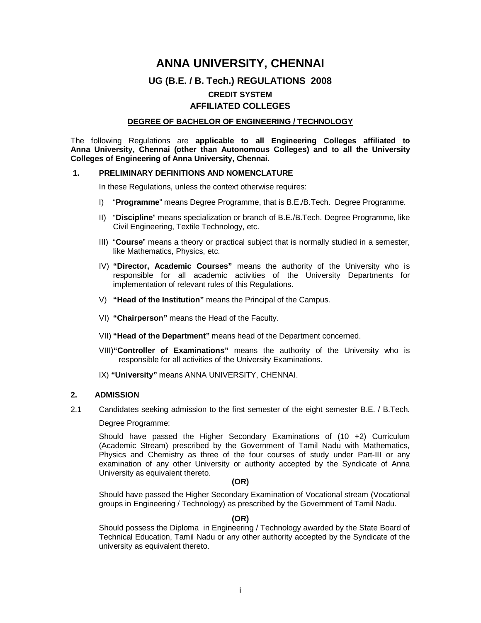# **ANNA UNIVERSITY, CHENNAI UG (B.E. / B. Tech.) REGULATIONS 2008 CREDIT SYSTEM AFFILIATED COLLEGES**

### **DEGREE OF BACHELOR OF ENGINEERING / TECHNOLOGY**

The following Regulations are **applicable to all Engineering Colleges affiliated to Anna University, Chennai (other than Autonomous Colleges) and to all the University Colleges of Engineering of Anna University, Chennai.**

#### **1. PRELIMINARY DEFINITIONS AND NOMENCLATURE**

In these Regulations, unless the context otherwise requires:

- I) "**Programme**" means Degree Programme, that is B.E./B.Tech. Degree Programme.
- II) "**Discipline**" means specialization or branch of B.E./B.Tech. Degree Programme, like Civil Engineering, Textile Technology, etc.
- III) "**Course**" means a theory or practical subject that is normally studied in a semester, like Mathematics, Physics, etc.
- IV) **"Director, Academic Courses"** means the authority of the University who is responsible for all academic activities of the University Departments for implementation of relevant rules of this Regulations.
- V) **"Head of the Institution"** means the Principal of the Campus.
- VI) **"Chairperson"** means the Head of the Faculty.
- VII) **"Head of the Department"** means head of the Department concerned.
- VIII)**"Controller of Examinations"** means the authority of the University who is responsible for all activities of the University Examinations.
- IX) **"University"** means ANNA UNIVERSITY, CHENNAI.

#### **2. ADMISSION**

2.1 Candidates seeking admission to the first semester of the eight semester B.E. / B.Tech.

Degree Programme:

Should have passed the Higher Secondary Examinations of (10 +2) Curriculum (Academic Stream) prescribed by the Government of Tamil Nadu with Mathematics, Physics and Chemistry as three of the four courses of study under Part-III or any examination of any other University or authority accepted by the Syndicate of Anna University as equivalent thereto.

#### **(OR)**

Should have passed the Higher Secondary Examination of Vocational stream (Vocational groups in Engineering / Technology) as prescribed by the Government of Tamil Nadu.

#### **(OR)**

Should possess the Diploma in Engineering / Technology awarded by the State Board of Technical Education, Tamil Nadu or any other authority accepted by the Syndicate of the university as equivalent thereto.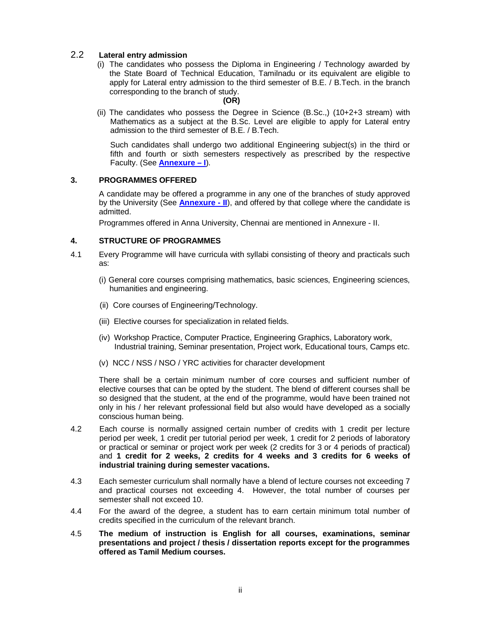### 2.2 **Lateral entry admission**

(i) The candidates who possess the Diploma in Engineering / Technology awarded by the State Board of Technical Education, Tamilnadu or its equivalent are eligible to apply for Lateral entry admission to the third semester of B.E. / B.Tech. in the branch corresponding to the branch of study.

#### **(OR)**

(ii) The candidates who possess the Degree in Science (B.Sc.,) (10+2+3 stream) with Mathematics as a subject at the B.Sc. Level are eligible to apply for Lateral entry admission to the third semester of B.E. / B.Tech.

Such candidates shall undergo two additional Engineering subject(s) in the third or fifth and fourth or sixth semesters respectively as prescribed by the respective Faculty. (See **Annexure – I**).

### **3. PROGRAMMES OFFERED**

A candidate may be offered a programme in any one of the branches of study approved by the University (See **Annexure - II**), and offered by that college where the candidate is admitted.

Programmes offered in Anna University, Chennai are mentioned in Annexure - II.

### **4. STRUCTURE OF PROGRAMMES**

- 4.1 Every Programme will have curricula with syllabi consisting of theory and practicals such as:
	- (i) General core courses comprising mathematics, basic sciences, Engineering sciences, humanities and engineering.
	- (ii) Core courses of Engineering/Technology.
	- (iii) Elective courses for specialization in related fields.
	- (iv) Workshop Practice, Computer Practice, Engineering Graphics, Laboratory work, Industrial training, Seminar presentation, Project work, Educational tours, Camps etc.
	- (v) NCC / NSS / NSO / YRC activities for character development

There shall be a certain minimum number of core courses and sufficient number of elective courses that can be opted by the student. The blend of different courses shall be so designed that the student, at the end of the programme, would have been trained not only in his / her relevant professional field but also would have developed as a socially conscious human being.

- 4.2 Each course is normally assigned certain number of credits with 1 credit per lecture period per week, 1 credit per tutorial period per week, 1 credit for 2 periods of laboratory or practical or seminar or project work per week (2 credits for 3 or 4 periods of practical) and **1 credit for 2 weeks, 2 credits for 4 weeks and 3 credits for 6 weeks of industrial training during semester vacations.**
- 4.3 Each semester curriculum shall normally have a blend of lecture courses not exceeding 7 and practical courses not exceeding 4. However, the total number of courses per semester shall not exceed 10.
- 4.4 For the award of the degree, a student has to earn certain minimum total number of credits specified in the curriculum of the relevant branch.
- 4.5 **The medium of instruction is English for all courses, examinations, seminar presentations and project / thesis / dissertation reports except for the programmes offered as Tamil Medium courses.**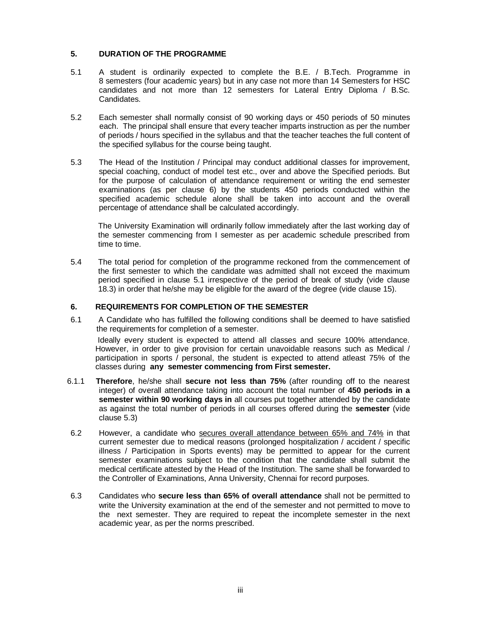### **5. DURATION OF THE PROGRAMME**

- 5.1 A student is ordinarily expected to complete the B.E. / B.Tech. Programme in 8 semesters (four academic years) but in any case not more than 14 Semesters for HSC candidates and not more than 12 semesters for Lateral Entry Diploma / B.Sc. Candidates.
- 5.2 Each semester shall normally consist of 90 working days or 450 periods of 50 minutes each. The principal shall ensure that every teacher imparts instruction as per the number of periods / hours specified in the syllabus and that the teacher teaches the full content of the specified syllabus for the course being taught.
- 5.3 The Head of the Institution / Principal may conduct additional classes for improvement, special coaching, conduct of model test etc., over and above the Specified periods. But for the purpose of calculation of attendance requirement or writing the end semester examinations (as per clause 6) by the students 450 periods conducted within the specified academic schedule alone shall be taken into account and the overall percentage of attendance shall be calculated accordingly.

The University Examination will ordinarily follow immediately after the last working day of the semester commencing from I semester as per academic schedule prescribed from time to time.

5.4 The total period for completion of the programme reckoned from the commencement of the first semester to which the candidate was admitted shall not exceed the maximum period specified in clause 5.1 irrespective of the period of break of study (vide clause 18.3) in order that he/she may be eligible for the award of the degree (vide clause 15).

### **6. REQUIREMENTS FOR COMPLETION OF THE SEMESTER**

6.1 A Candidate who has fulfilled the following conditions shall be deemed to have satisfied the requirements for completion of a semester.

Ideally every student is expected to attend all classes and secure 100% attendance. However, in order to give provision for certain unavoidable reasons such as Medical / participation in sports / personal, the student is expected to attend atleast 75% of the classes during **any semester commencing from First semester.** 

- 6.1.1 **Therefore**, he/she shall **secure not less than 75%** (after rounding off to the nearest integer) of overall attendance taking into account the total number of **450 periods in a semester within 90 working days in** all courses put together attended by the candidate as against the total number of periods in all courses offered during the **semester** (vide clause 5.3)
- 6.2 However, a candidate who secures overall attendance between 65% and 74% in that current semester due to medical reasons (prolonged hospitalization / accident / specific illness / Participation in Sports events) may be permitted to appear for the current semester examinations subject to the condition that the candidate shall submit the medical certificate attested by the Head of the Institution. The same shall be forwarded to the Controller of Examinations, Anna University, Chennai for record purposes.
- 6.3 Candidates who **secure less than 65% of overall attendance** shall not be permitted to write the University examination at the end of the semester and not permitted to move to the next semester. They are required to repeat the incomplete semester in the next academic year, as per the norms prescribed.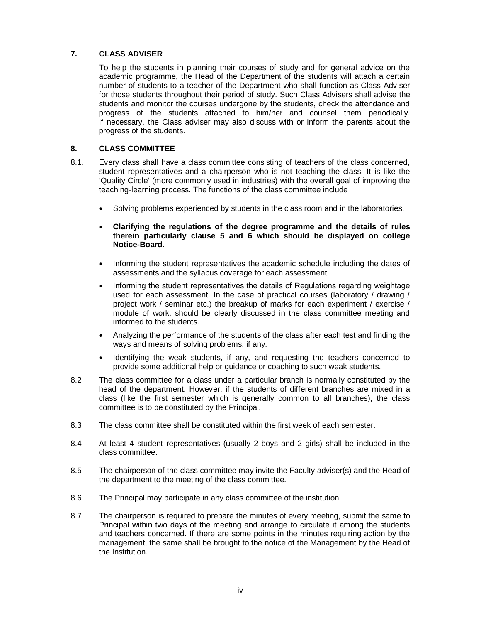### **7. CLASS ADVISER**

To help the students in planning their courses of study and for general advice on the academic programme, the Head of the Department of the students will attach a certain number of students to a teacher of the Department who shall function as Class Adviser for those students throughout their period of study. Such Class Advisers shall advise the students and monitor the courses undergone by the students, check the attendance and progress of the students attached to him/her and counsel them periodically. If necessary, the Class adviser may also discuss with or inform the parents about the progress of the students.

### **8. CLASS COMMITTEE**

- 8.1. Every class shall have a class committee consisting of teachers of the class concerned, student representatives and a chairperson who is not teaching the class. It is like the 'Quality Circle' (more commonly used in industries) with the overall goal of improving the teaching-learning process. The functions of the class committee include
	- Solving problems experienced by students in the class room and in the laboratories.
	- **Clarifying the regulations of the degree programme and the details of rules therein particularly clause 5 and 6 which should be displayed on college Notice-Board.**
	- Informing the student representatives the academic schedule including the dates of assessments and the syllabus coverage for each assessment.
	- Informing the student representatives the details of Regulations regarding weightage used for each assessment. In the case of practical courses (laboratory / drawing / project work / seminar etc.) the breakup of marks for each experiment / exercise / module of work, should be clearly discussed in the class committee meeting and informed to the students.
	- Analyzing the performance of the students of the class after each test and finding the ways and means of solving problems, if any.
	- Identifying the weak students, if any, and requesting the teachers concerned to provide some additional help or guidance or coaching to such weak students.
- 8.2 The class committee for a class under a particular branch is normally constituted by the head of the department. However, if the students of different branches are mixed in a class (like the first semester which is generally common to all branches), the class committee is to be constituted by the Principal.
- 8.3 The class committee shall be constituted within the first week of each semester.
- 8.4 At least 4 student representatives (usually 2 boys and 2 girls) shall be included in the class committee.
- 8.5 The chairperson of the class committee may invite the Faculty adviser(s) and the Head of the department to the meeting of the class committee.
- 8.6 The Principal may participate in any class committee of the institution.
- 8.7 The chairperson is required to prepare the minutes of every meeting, submit the same to Principal within two days of the meeting and arrange to circulate it among the students and teachers concerned. If there are some points in the minutes requiring action by the management, the same shall be brought to the notice of the Management by the Head of the Institution.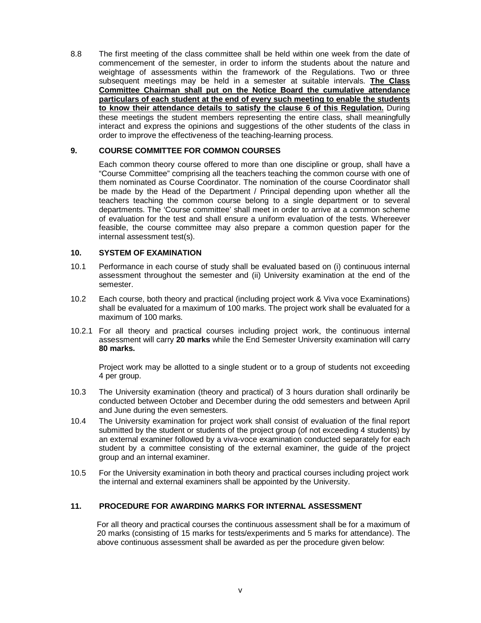8.8 The first meeting of the class committee shall be held within one week from the date of commencement of the semester, in order to inform the students about the nature and weightage of assessments within the framework of the Regulations. Two or three subsequent meetings may be held in a semester at suitable intervals. **The Class Committee Chairman shall put on the Notice Board the cumulative attendance particulars of each student at the end of every such meeting to enable the students to know their attendance details to satisfy the clause 6 of this Regulation.** During these meetings the student members representing the entire class, shall meaningfully interact and express the opinions and suggestions of the other students of the class in order to improve the effectiveness of the teaching-learning process.

### **9. COURSE COMMITTEE FOR COMMON COURSES**

Each common theory course offered to more than one discipline or group, shall have a "Course Committee" comprising all the teachers teaching the common course with one of them nominated as Course Coordinator. The nomination of the course Coordinator shall be made by the Head of the Department / Principal depending upon whether all the teachers teaching the common course belong to a single department or to several departments. The 'Course committee' shall meet in order to arrive at a common scheme of evaluation for the test and shall ensure a uniform evaluation of the tests. Whereever feasible, the course committee may also prepare a common question paper for the internal assessment test(s).

### **10. SYSTEM OF EXAMINATION**

- 10.1 Performance in each course of study shall be evaluated based on (i) continuous internal assessment throughout the semester and (ii) University examination at the end of the semester.
- 10.2 Each course, both theory and practical (including project work & Viva voce Examinations) shall be evaluated for a maximum of 100 marks. The project work shall be evaluated for a maximum of 100 marks.
- 10.2.1 For all theory and practical courses including project work, the continuous internal assessment will carry **20 marks** while the End Semester University examination will carry **80 marks.**

Project work may be allotted to a single student or to a group of students not exceeding 4 per group.

- 10.3 The University examination (theory and practical) of 3 hours duration shall ordinarily be conducted between October and December during the odd semesters and between April and June during the even semesters.
- 10.4 The University examination for project work shall consist of evaluation of the final report submitted by the student or students of the project group (of not exceeding 4 students) by an external examiner followed by a viva-voce examination conducted separately for each student by a committee consisting of the external examiner, the guide of the project group and an internal examiner.
- 10.5 For the University examination in both theory and practical courses including project work the internal and external examiners shall be appointed by the University.

### **11. PROCEDURE FOR AWARDING MARKS FOR INTERNAL ASSESSMENT**

 For all theory and practical courses the continuous assessment shall be for a maximum of 20 marks (consisting of 15 marks for tests/experiments and 5 marks for attendance). The above continuous assessment shall be awarded as per the procedure given below: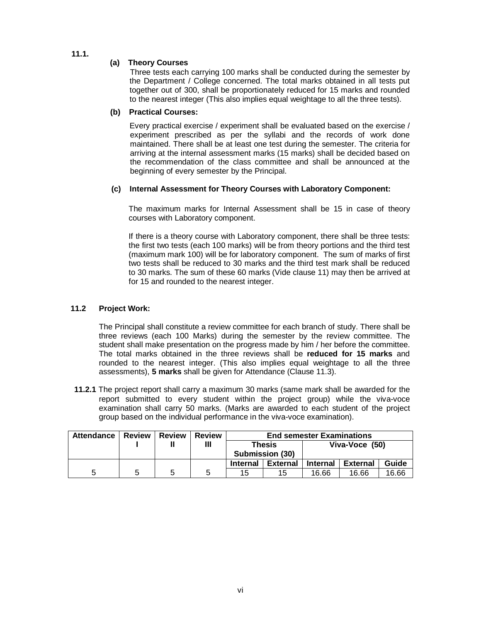**11.1.** 

### **(a) Theory Courses**

Three tests each carrying 100 marks shall be conducted during the semester by the Department / College concerned. The total marks obtained in all tests put together out of 300, shall be proportionately reduced for 15 marks and rounded to the nearest integer (This also implies equal weightage to all the three tests).

### **(b) Practical Courses:**

Every practical exercise / experiment shall be evaluated based on the exercise / experiment prescribed as per the syllabi and the records of work done maintained. There shall be at least one test during the semester. The criteria for arriving at the internal assessment marks (15 marks) shall be decided based on the recommendation of the class committee and shall be announced at the beginning of every semester by the Principal.

### **(c) Internal Assessment for Theory Courses with Laboratory Component:**

The maximum marks for Internal Assessment shall be 15 in case of theory courses with Laboratory component.

If there is a theory course with Laboratory component, there shall be three tests: the first two tests (each 100 marks) will be from theory portions and the third test (maximum mark 100) will be for laboratory component. The sum of marks of first two tests shall be reduced to 30 marks and the third test mark shall be reduced to 30 marks. The sum of these 60 marks (Vide clause 11) may then be arrived at for 15 and rounded to the nearest integer.

### **11.2 Project Work:**

The Principal shall constitute a review committee for each branch of study. There shall be three reviews (each 100 Marks) during the semester by the review committee. The student shall make presentation on the progress made by him / her before the committee. The total marks obtained in the three reviews shall be **reduced for 15 marks** and rounded to the nearest integer. (This also implies equal weightage to all the three assessments), **5 marks** shall be given for Attendance (Clause 11.3).

**11.2.1** The project report shall carry a maximum 30 marks (same mark shall be awarded for the report submitted to every student within the project group) while the viva-voce examination shall carry 50 marks. (Marks are awarded to each student of the project group based on the individual performance in the viva-voce examination).

| Attendance   Review |   | l Review | <b>Review</b> | <b>End semester Examinations</b> |                           |                 |                 |       |  |  |
|---------------------|---|----------|---------------|----------------------------------|---------------------------|-----------------|-----------------|-------|--|--|
|                     |   |          | Ш             |                                  | Thesis<br>Submission (30) |                 | Viva-Voce (50)  |       |  |  |
|                     |   |          |               | <b>Internal</b>                  | <b>External</b>           | <b>Internal</b> | <b>External</b> | Guide |  |  |
| 5                   | 5 | 5        | 5             | 15                               | 15                        | 16.66           | 16.66           | 16.66 |  |  |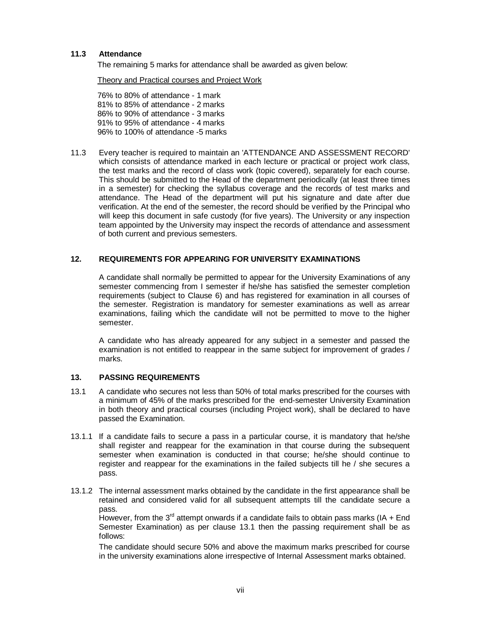### **11.3 Attendance**

The remaining 5 marks for attendance shall be awarded as given below:

Theory and Practical courses and Project Work

76% to 80% of attendance - 1 mark 81% to 85% of attendance - 2 marks 86% to 90% of attendance - 3 marks 91% to 95% of attendance - 4 marks 96% to 100% of attendance -5 marks

11.3Every teacher is required to maintain an 'ATTENDANCE AND ASSESSMENT RECORD' which consists of attendance marked in each lecture or practical or project work class, the test marks and the record of class work (topic covered), separately for each course. This should be submitted to the Head of the department periodically (at least three times in a semester) for checking the syllabus coverage and the records of test marks and attendance. The Head of the department will put his signature and date after due verification. At the end of the semester, the record should be verified by the Principal who will keep this document in safe custody (for five years). The University or any inspection team appointed by the University may inspect the records of attendance and assessment of both current and previous semesters.

### **12. REQUIREMENTS FOR APPEARING FOR UNIVERSITY EXAMINATIONS**

A candidate shall normally be permitted to appear for the University Examinations of any semester commencing from I semester if he/she has satisfied the semester completion requirements (subject to Clause 6) and has registered for examination in all courses of the semester*.* Registration is mandatory for semester examinations as well as arrear examinations, failing which the candidate will not be permitted to move to the higher semester.

A candidate who has already appeared for any subject in a semester and passed the examination is not entitled to reappear in the same subiect for improvement of grades / marks.

#### **13. PASSING REQUIREMENTS**

- 13.1 A candidate who secures not less than 50% of total marks prescribed for the courses with a minimum of 45% of the marks prescribed for the end-semester University Examination in both theory and practical courses (including Project work), shall be declared to have passed the Examination.
- 13.1.1 If a candidate fails to secure a pass in a particular course, it is mandatory that he/she shall register and reappear for the examination in that course during the subsequent semester when examination is conducted in that course; he/she should continue to register and reappear for the examinations in the failed subjects till he / she secures a pass.
- 13.1.2 The internal assessment marks obtained by the candidate in the first appearance shall be retained and considered valid for all subsequent attempts till the candidate secure a pass.

However, from the  $3<sup>rd</sup>$  attempt onwards if a candidate fails to obtain pass marks (IA + End Semester Examination) as per clause 13.1 then the passing requirement shall be as follows:

The candidate should secure 50% and above the maximum marks prescribed for course in the university examinations alone irrespective of Internal Assessment marks obtained.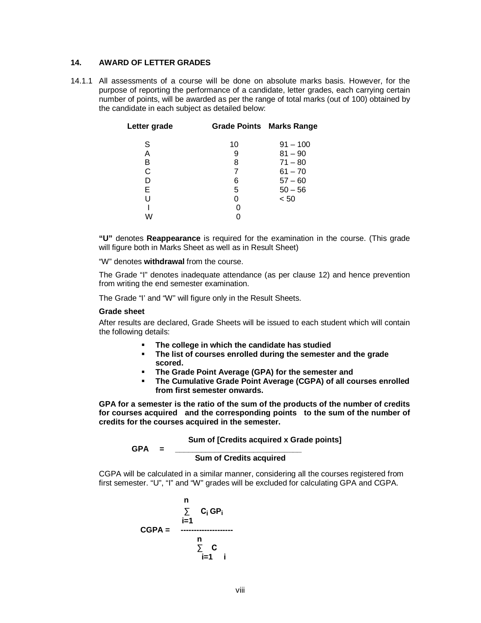#### **14. AWARD OF LETTER GRADES**

14.1.1 All assessments of a course will be done on absolute marks basis. However, for the purpose of reporting the performance of a candidate, letter grades, each carrying certain number of points, will be awarded as per the range of total marks (out of 100) obtained by the candidate in each subject as detailed below:

| Letter grade |                | <b>Grade Points Marks Range</b> |
|--------------|----------------|---------------------------------|
| S            | 10             | $91 - 100$                      |
| A            | 9              | $81 - 90$                       |
| в            | 8              | $71 - 80$                       |
| C            | $\overline{7}$ | $61 - 70$                       |
| D            | 6              | $57 - 60$                       |
| Е            | 5              | $50 - 56$                       |
| U            | 0              | < 50                            |
|              |                |                                 |
|              |                |                                 |

**"U"** denotes **Reappearance** is required for the examination in the course. (This grade will figure both in Marks Sheet as well as in Result Sheet)

"W" denotes **withdrawal** from the course.

The Grade "I" denotes inadequate attendance (as per clause 12) and hence prevention from writing the end semester examination.

The Grade "I' and "W" will figure only in the Result Sheets.

#### **Grade sheet**

After results are declared, Grade Sheets will be issued to each student which will contain the following details:

- **The college in which the candidate has studied**
- **The list of courses enrolled during the semester and the grade scored.**
- **The Grade Point Average (GPA) for the semester and**
- **The Cumulative Grade Point Average (CGPA) of all courses enrolled from first semester onwards.**

**GPA for a semester is the ratio of the sum of the products of the number of credits for courses acquired and the corresponding points to the sum of the number of credits for the courses acquired in the semester.**

 **Sum of [Credits acquired x Grade points]**

#### **GPA = \_\_\_\_\_\_\_\_\_\_\_\_\_\_\_\_\_\_\_\_\_\_\_\_\_\_\_\_\_ Sum of Credits acquired**

CGPA will be calculated in a similar manner, considering all the courses registered from first semester. "U", "I" and "W" grades will be excluded for calculating GPA and CGPA.

$$
\begin{array}{rcl}\n & n \\
\sum_{i=1} & C_i \, \text{GP}_i \\
\text{CGPA} = & \xrightarrow{n} \\
 & \sum_{i=1}^{n} \, \text{C} \\
 & \text{i} \n\end{array}
$$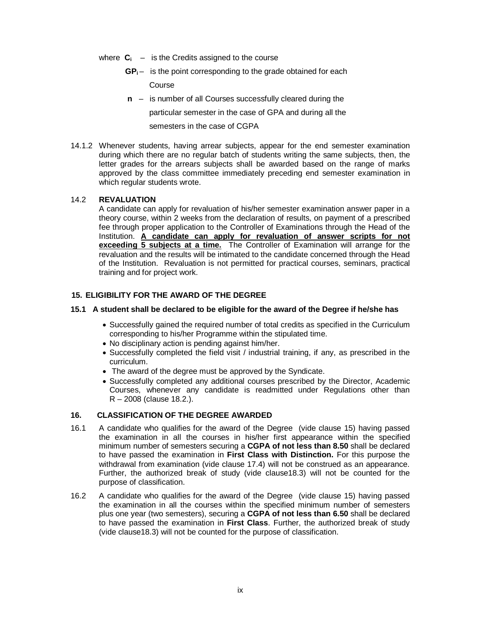- where  $C_i$  is the Credits assigned to the course
	- $GP_i$  is the point corresponding to the grade obtained for each

Course

**n** – is number of all Courses successfully cleared during the

particular semester in the case of GPA and during all the

semesters in the case of CGPA

14.1.2 Whenever students, having arrear subjects, appear for the end semester examination during which there are no regular batch of students writing the same subjects, then, the letter grades for the arrears subjects shall be awarded based on the range of marks approved by the class committee immediately preceding end semester examination in which regular students wrote.

### 14.2 **REVALUATION**

A candidate can apply for revaluation of his/her semester examination answer paper in a theory course, within 2 weeks from the declaration of results, on payment of a prescribed fee through proper application to the Controller of Examinations through the Head of the Institution. **A candidate can apply for revaluation of answer scripts for not exceeding 5 subjects at a time.** The Controller of Examination will arrange for the revaluation and the results will be intimated to the candidate concerned through the Head of the Institution. Revaluation is not permitted for practical courses, seminars, practical training and for project work.

### **15. ELIGIBILITY FOR THE AWARD OF THE DEGREE**

### **15.1 A student shall be declared to be eligible for the award of the Degree if he/she has**

- Successfully gained the required number of total credits as specified in the Curriculum corresponding to his/her Programme within the stipulated time.
- No disciplinary action is pending against him/her.
- Successfully completed the field visit / industrial training, if any, as prescribed in the curriculum.
- The award of the degree must be approved by the Syndicate.
- Successfully completed any additional courses prescribed by the Director, Academic Courses, whenever any candidate is readmitted under Regulations other than R – 2008 (clause 18.2.).

### **16. CLASSIFICATION OF THE DEGREE AWARDED**

- 16.1 A candidate who qualifies for the award of the Degree (vide clause 15) having passed the examination in all the courses in his/her first appearance within the specified minimum number of semesters securing a **CGPA of not less than 8.50** shall be declared to have passed the examination in **First Class with Distinction.** For this purpose the withdrawal from examination (vide clause 17.4) will not be construed as an appearance. Further, the authorized break of study (vide clause18.3) will not be counted for the purpose of classification.
- 16.2 A candidate who qualifies for the award of the Degree (vide clause 15) having passed the examination in all the courses within the specified minimum number of semesters plus one year (two semesters), securing a **CGPA of not less than 6.50** shall be declared to have passed the examination in **First Class**. Further, the authorized break of study (vide clause18.3) will not be counted for the purpose of classification.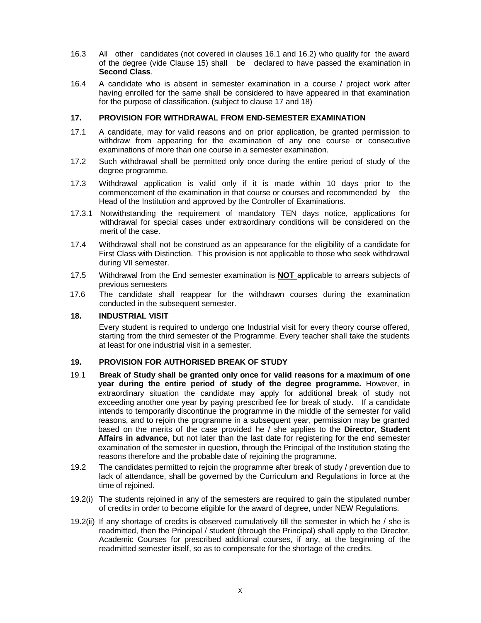- 16.3 All other candidates (not covered in clauses 16.1 and 16.2) who qualify for the award of the degree (vide Clause 15) shall be declared to have passed the examination in **Second Class**.
- 16.4 A candidate who is absent in semester examination in a course / project work after having enrolled for the same shall be considered to have appeared in that examination for the purpose of classification. (subject to clause 17 and 18)

### **17. PROVISION FOR WITHDRAWAL FROM END-SEMESTER EXAMINATION**

- 17.1 A candidate, may for valid reasons and on prior application, be granted permission to withdraw from appearing for the examination of any one course or consecutive examinations of more than one course in a semester examination.
- 17.2 Such withdrawal shall be permitted only once during the entire period of study of the degree programme.
- 17.3 Withdrawal application is valid only if it is made within 10 days prior to the commencement of the examination in that course or courses and recommended by the Head of the Institution and approved by the Controller of Examinations.
- 17.3.1 Notwithstanding the requirement of mandatory TEN days notice, applications for withdrawal for special cases under extraordinary conditions will be considered on the merit of the case.
- 17.4 Withdrawal shall not be construed as an appearance for the eligibility of a candidate for First Class with Distinction. This provision is not applicable to those who seek withdrawal during VII semester.
- 17.5 Withdrawal from the End semester examination is **NOT** applicable to arrears subjects of previous semesters
- 17.6 The candidate shall reappear for the withdrawn courses during the examination conducted in the subsequent semester.

#### **18. INDUSTRIAL VISIT**

Every student is required to undergo one Industrial visit for every theory course offered, starting from the third semester of the Programme. Every teacher shall take the students at least for one industrial visit in a semester.

#### **19. PROVISION FOR AUTHORISED BREAK OF STUDY**

- 19.1 **Break of Study shall be granted only once for valid reasons for a maximum of one year during the entire period of study of the degree programme.** However, in extraordinary situation the candidate may apply for additional break of study not exceeding another one year by paying prescribed fee for break of study. If a candidate intends to temporarily discontinue the programme in the middle of the semester for valid reasons, and to rejoin the programme in a subsequent year, permission may be granted based on the merits of the case provided he / she applies to the **Director, Student Affairs in advance**, but not later than the last date for registering for the end semester examination of the semester in question, through the Principal of the Institution stating the reasons therefore and the probable date of rejoining the programme.
- 19.2 The candidates permitted to rejoin the programme after break of study / prevention due to lack of attendance, shall be governed by the Curriculum and Regulations in force at the time of rejoined.
- 19.2(i) The students rejoined in any of the semesters are required to gain the stipulated number of credits in order to become eligible for the award of degree, under NEW Regulations.
- 19.2(ii) If any shortage of credits is observed cumulatively till the semester in which he / she is readmitted, then the Principal / student (through the Principal) shall apply to the Director, Academic Courses for prescribed additional courses, if any, at the beginning of the readmitted semester itself, so as to compensate for the shortage of the credits.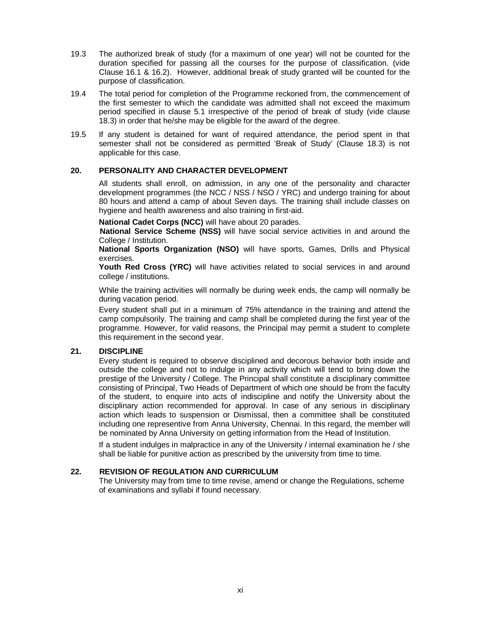- 19.3 The authorized break of study (for a maximum of one year) will not be counted for the duration specified for passing all the courses for the purpose of classification. (vide Clause 16.1 & 16.2). However, additional break of study granted will be counted for the purpose of classification.
- 19.4 The total period for completion of the Programme reckoned from, the commencement of the first semester to which the candidate was admitted shall not exceed the maximum period specified in clause 5.1 irrespective of the period of break of study (vide clause 18.3) in order that he/she may be eligible for the award of the degree.
- 19.5 If any student is detained for want of required attendance, the period spent in that semester shall not be considered as permitted 'Break of Study' (Clause 18.3) is not applicable for this case.

### **20. PERSONALITY AND CHARACTER DEVELOPMENT**

All students shall enroll, on admission, in any one of the personality and character development programmes (the NCC / NSS / NSO / YRC) and undergo training for about 80 hours and attend a camp of about Seven days. The training shall include classes on hygiene and health awareness and also training in first-aid.

**National Cadet Corps (NCC)** will have about 20 parades.

**National Service Scheme (NSS)** will have social service activities in and around the College / Institution.

**National Sports Organization (NSO)** will have sports, Games, Drills and Physical exercises.

**Youth Red Cross (YRC)** will have activities related to social services in and around college / institutions.

While the training activities will normally be during week ends, the camp will normally be during vacation period.

Every student shall put in a minimum of 75% attendance in the training and attend the camp compulsorily. The training and camp shall be completed during the first year of the programme. However, for valid reasons, the Principal may permit a student to complete this requirement in the second year.

### **21. DISCIPLINE**

Every student is required to observe disciplined and decorous behavior both inside and outside the college and not to indulge in any activity which will tend to bring down the prestige of the University / College. The Principal shall constitute a disciplinary committee consisting of Principal, Two Heads of Department of which one should be from the faculty of the student, to enquire into acts of indiscipline and notify the University about the disciplinary action recommended for approval. In case of any serious in disciplinary action which leads to suspension or Dismissal, then a committee shall be constituted including one representive from Anna University, Chennai. In this regard, the member will be nominated by Anna University on getting information from the Head of Institution.

If a student indulges in malpractice in any of the University / internal examination he / she shall be liable for punitive action as prescribed by the university from time to time.

### **22. REVISION OF REGULATION AND CURRICULUM**

The University may from time to time revise, amend or change the Regulations, scheme of examinations and syllabi if found necessary.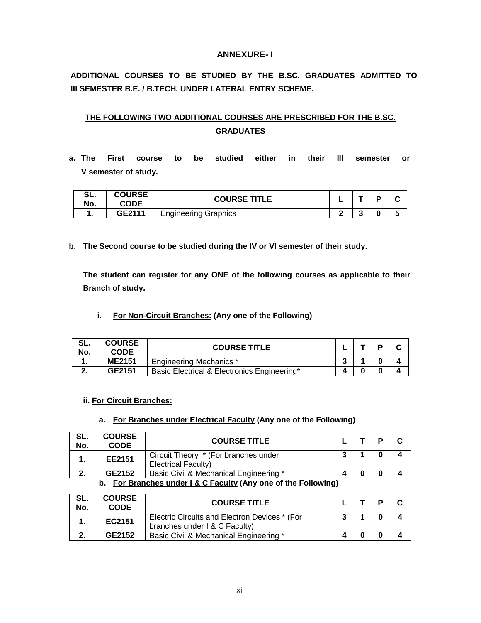## **ANNEXURE- I**

**ADDITIONAL COURSES TO BE STUDIED BY THE B.SC. GRADUATES ADMITTED TO III SEMESTER B.E. / B.TECH. UNDER LATERAL ENTRY SCHEME.**

# **THE FOLLOWING TWO ADDITIONAL COURSES ARE PRESCRIBED FOR THE B.SC. GRADUATES**

**a. The First course to be studied either in their III semester or V semester of study.** 

| $\mathbf{C}$<br>JL.<br>No. | <b>COURSE</b><br>CODE | <b>COURSE TITLE</b>         |   |                   | n | . . |
|----------------------------|-----------------------|-----------------------------|---|-------------------|---|-----|
|                            | GF2111                | <b>Engineering Graphics</b> | e | $\epsilon$<br>. . | በ |     |

**b. The Second course to be studied during the IV or VI semester of their study.** 

**The student can register for any ONE of the following courses as applicable to their Branch of study.**

**i. For Non-Circuit Branches: (Any one of the Following)**

| SL.<br>No. | <b>COURSE</b><br><b>CODE</b>                    | <b>COURSE TITLE</b>                         |   |  |  |
|------------|-------------------------------------------------|---------------------------------------------|---|--|--|
| . .        | <b>ME2151</b><br><b>Engineering Mechanics *</b> |                                             | w |  |  |
|            | GE2151                                          | Basic Electrical & Electronics Engineering* |   |  |  |

#### **ii. For Circuit Branches:**

### **a. For Branches under Electrical Faculty (Any one of the Following)**

| SL.<br>No.                                                     | <b>COURSE</b><br><b>CODE</b> | <b>COURSE TITLE</b>                                                |  |  | P | C |  |
|----------------------------------------------------------------|------------------------------|--------------------------------------------------------------------|--|--|---|---|--|
|                                                                | EE2151                       | Circuit Theory * (For branches under<br><b>Electrical Faculty)</b> |  |  | 0 |   |  |
|                                                                | GE2152                       | Basic Civil & Mechanical Engineering *                             |  |  |   |   |  |
| b. For Branches under I & C Faculty (Any one of the Following) |                              |                                                                    |  |  |   |   |  |

| -SL.<br>No. | <b>COURSE</b><br><b>CODE</b> | <b>COURSE TITLE</b>                                                            |  | D |  |
|-------------|------------------------------|--------------------------------------------------------------------------------|--|---|--|
|             | EC2151                       | Electric Circuits and Electron Devices * (For<br>branches under I & C Faculty) |  |   |  |
|             | GE2152                       | Basic Civil & Mechanical Engineering *                                         |  |   |  |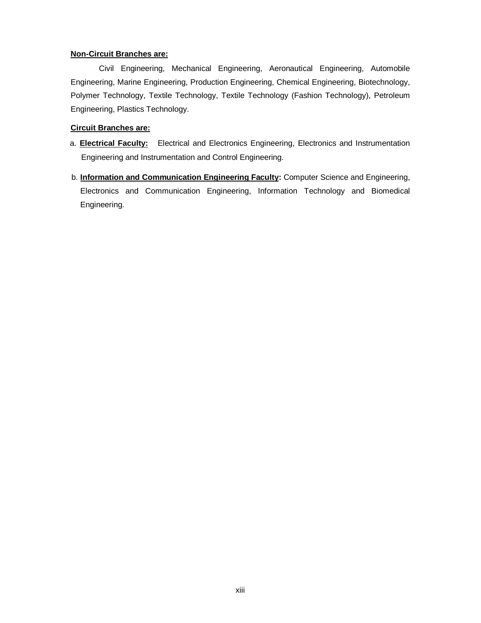### **Non-Circuit Branches are:**

Civil Engineering, Mechanical Engineering, Aeronautical Engineering, Automobile Engineering, Marine Engineering, Production Engineering, Chemical Engineering, Biotechnology, Polymer Technology, Textile Technology, Textile Technology (Fashion Technology), Petroleum Engineering, Plastics Technology.

### **Circuit Branches are:**

- a. **Electrical Faculty:** Electrical and Electronics Engineering, Electronics and Instrumentation Engineering and Instrumentation and Control Engineering.
- b. **Information and Communication Engineering Faculty:** Computer Science and Engineering, Electronics and Communication Engineering, Information Technology and Biomedical Engineering.